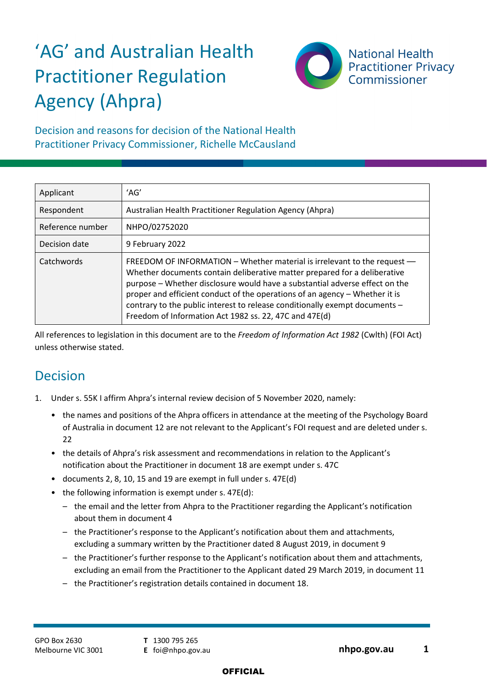# 'AG' and Australian Health Practitioner Regulation Agency (Ahpra)



Decision and reasons for decision of the National Health Practitioner Privacy Commissioner, Richelle McCausland

| Applicant        | 'AG'                                                                                                                                                                                                                                                                                                                                                                                                                                                         |
|------------------|--------------------------------------------------------------------------------------------------------------------------------------------------------------------------------------------------------------------------------------------------------------------------------------------------------------------------------------------------------------------------------------------------------------------------------------------------------------|
| Respondent       | Australian Health Practitioner Regulation Agency (Ahpra)                                                                                                                                                                                                                                                                                                                                                                                                     |
| Reference number | NHPO/02752020                                                                                                                                                                                                                                                                                                                                                                                                                                                |
| Decision date    | 9 February 2022                                                                                                                                                                                                                                                                                                                                                                                                                                              |
| Catchwords       | FREEDOM OF INFORMATION - Whether material is irrelevant to the request -<br>Whether documents contain deliberative matter prepared for a deliberative<br>purpose - Whether disclosure would have a substantial adverse effect on the<br>proper and efficient conduct of the operations of an agency - Whether it is<br>contrary to the public interest to release conditionally exempt documents -<br>Freedom of Information Act 1982 ss. 22, 47C and 47E(d) |

All references to legislation in this document are to the *Freedom of Information Act 1982* (Cwlth) (FOI Act) unless otherwise stated.

# Decision

- 1. Under s. 55K I affirm Ahpra's internal review decision of 5 November 2020, namely:
	- the names and positions of the Ahpra officers in attendance at the meeting of the Psychology Board of Australia in document 12 are not relevant to the Applicant's FOI request and are deleted under s.  $22$
	- the details of Ahpra's risk assessment and recommendations in relation to the Applicant's notification about the Practitioner in document 18 are exempt under s. 47C
	- documents 2, 8, 10, 15 and 19 are exempt in full under s. 47E(d)
	- the following information is exempt under s. 47E(d):
		- the email and the letter from Ahpra to the Practitioner regarding the Applicant's notification about them in document 4
		- the Practitioner's response to the Applicant's notification about them and attachments, excluding a summary written by the Practitioner dated 8 August 2019, in document 9
		- the Practitioner's further response to the Applicant's notification about them and attachments, excluding an email from the Practitioner to the Applicant dated 29 March 2019, in document 11
		- the Practitioner's registration details contained in document 18.

**T** 1300 795 265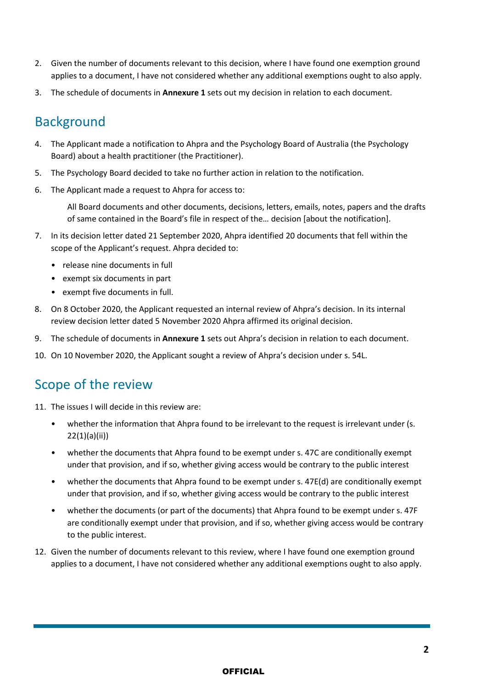- 2. Given the number of documents relevant to this decision, where I have found one exemption ground applies to a document, I have not considered whether any additional exemptions ought to also apply.
- 3. The schedule of documents in **Annexure 1** sets out my decision in relation to each document.

## Background

- 4. The Applicant made a notification to Ahpra and the Psychology Board of Australia (the Psychology Board) about a health practitioner (the Practitioner).
- 5. The Psychology Board decided to take no further action in relation to the notification.
- 6. The Applicant made a request to Ahpra for access to:

All Board documents and other documents, decisions, letters, emails, notes, papers and the drafts of same contained in the Board's file in respect of the… decision [about the notification].

- 7. In its decision letter dated 21 September 2020, Ahpra identified 20 documents that fell within the scope of the Applicant's request. Ahpra decided to:
	- release nine documents in full
	- exempt six documents in part
	- exempt five documents in full.
- 8. On 8 October 2020, the Applicant requested an internal review of Ahpra's decision. In its internal review decision letter dated 5 November 2020 Ahpra affirmed its original decision.
- 9. The schedule of documents in **Annexure 1** sets out Ahpra's decision in relation to each document.
- 10. On 10 November 2020, the Applicant sought a review of Ahpra's decision under s. 54L.

## Scope of the review

- 11. The issues I will decide in this review are:
	- whether the information that Ahpra found to be irrelevant to the request is irrelevant under (s. 22(1)(a)(ii))
	- whether the documents that Ahpra found to be exempt under s. 47C are conditionally exempt under that provision, and if so, whether giving access would be contrary to the public interest
	- whether the documents that Ahpra found to be exempt under s. 47E(d) are conditionally exempt under that provision, and if so, whether giving access would be contrary to the public interest
	- whether the documents (or part of the documents) that Ahpra found to be exempt under s. 47F are conditionally exempt under that provision, and if so, whether giving access would be contrary to the public interest.
- 12. Given the number of documents relevant to this review, where I have found one exemption ground applies to a document, I have not considered whether any additional exemptions ought to also apply.

#### **OFFICIAL**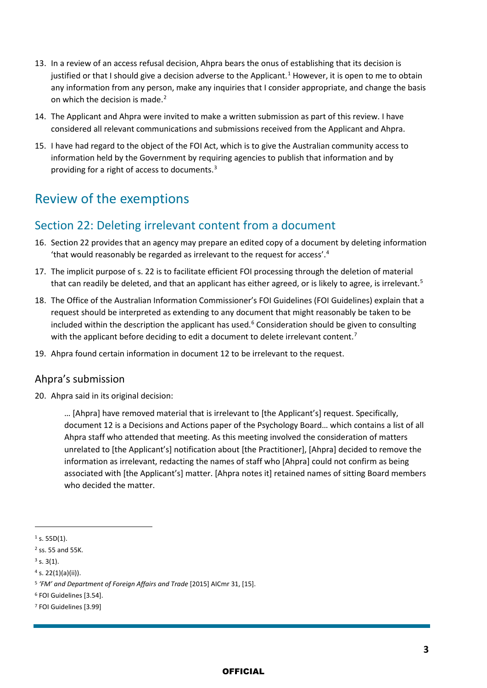- 13. In a review of an access refusal decision, Ahpra bears the onus of establishing that its decision is justified or that I should give a decision adverse to the Applicant.<sup>[1](#page-2-0)</sup> However, it is open to me to obtain any information from any person, make any inquiries that I consider appropriate, and change the basis on which the decision is made.<sup>[2](#page-2-1)</sup>
- 14. The Applicant and Ahpra were invited to make a written submission as part of this review. I have considered all relevant communications and submissions received from the Applicant and Ahpra.
- 15. I have had regard to the object of the FOI Act, which is to give the Australian community access to information held by the Government by requiring agencies to publish that information and by providing for a right of access to documents.[3](#page-2-2)

# Review of the exemptions

### Section 22: Deleting irrelevant content from a document

- 16. Section 22 provides that an agency may prepare an edited copy of a document by deleting information 'that would reasonably be regarded as irrelevant to the request for access'.[4](#page-2-3)
- 17. The implicit purpose of s. 22 is to facilitate efficient FOI processing through the deletion of material that can readily be deleted, and that an applicant has either agreed, or is likely to agree, is irrelevant.<sup>[5](#page-2-4)</sup>
- 18. The Office of the Australian Information Commissioner's FOI Guidelines (FOI Guidelines) explain that a request should be interpreted as extending to any document that might reasonably be taken to be included within the description the applicant has used. $6$  Consideration should be given to consulting with the applicant before deciding to edit a document to delete irrelevant content.<sup>[7](#page-2-6)</sup>
- 19. Ahpra found certain information in document 12 to be irrelevant to the request.

#### Ahpra's submission

20. Ahpra said in its original decision:

… [Ahpra] have removed material that is irrelevant to [the Applicant's] request. Specifically, document 12 is a Decisions and Actions paper of the Psychology Board… which contains a list of all Ahpra staff who attended that meeting. As this meeting involved the consideration of matters unrelated to [the Applicant's] notification about [the Practitioner], [Ahpra] decided to remove the information as irrelevant, redacting the names of staff who [Ahpra] could not confirm as being associated with [the Applicant's] matter. [Ahpra notes it] retained names of sitting Board members who decided the matter.

<span id="page-2-0"></span> $1$  s. 55D(1).

<span id="page-2-1"></span><sup>2</sup> ss. 55 and 55K.

<span id="page-2-2"></span> $3$  s. 3(1).

<span id="page-2-3"></span> $4$  s. 22(1)(a)(ii)).

<span id="page-2-4"></span><sup>5</sup> *'FM' and Department of Foreign Affairs and Trade* [2015] AICmr 31, [15].

<span id="page-2-5"></span><sup>6</sup> FOI Guidelines [3.54].

<span id="page-2-6"></span><sup>7</sup> FOI Guidelines [3.99]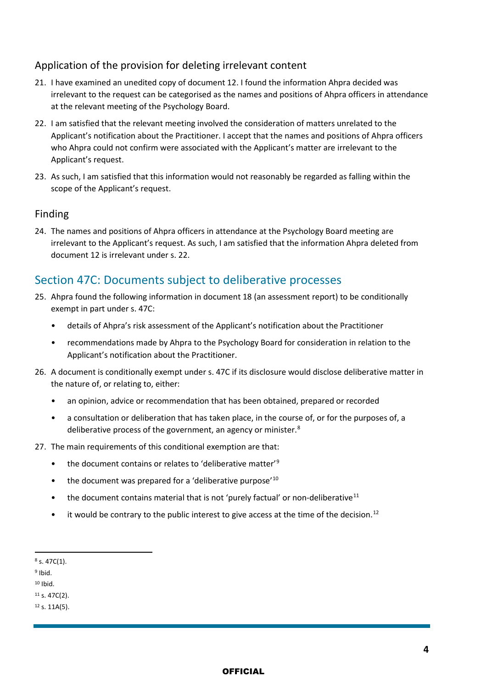#### Application of the provision for deleting irrelevant content

- 21. I have examined an unedited copy of document 12. I found the information Ahpra decided was irrelevant to the request can be categorised as the names and positions of Ahpra officers in attendance at the relevant meeting of the Psychology Board.
- 22. I am satisfied that the relevant meeting involved the consideration of matters unrelated to the Applicant's notification about the Practitioner. I accept that the names and positions of Ahpra officers who Ahpra could not confirm were associated with the Applicant's matter are irrelevant to the Applicant's request.
- 23. As such, I am satisfied that this information would not reasonably be regarded as falling within the scope of the Applicant's request.

#### Finding

24. The names and positions of Ahpra officers in attendance at the Psychology Board meeting are irrelevant to the Applicant's request. As such, I am satisfied that the information Ahpra deleted from document 12 is irrelevant under s. 22.

### Section 47C: Documents subject to deliberative processes

- 25. Ahpra found the following information in document 18 (an assessment report) to be conditionally exempt in part under s. 47C:
	- details of Ahpra's risk assessment of the Applicant's notification about the Practitioner
	- recommendations made by Ahpra to the Psychology Board for consideration in relation to the Applicant's notification about the Practitioner.
- 26. A document is conditionally exempt under s. 47C if its disclosure would disclose deliberative matter in the nature of, or relating to, either:
	- an opinion, advice or recommendation that has been obtained, prepared or recorded
	- a consultation or deliberation that has taken place, in the course of, or for the purposes of, a deliberative process of the government, an agency or minister.<sup>[8](#page-3-0)</sup>
- 27. The main requirements of this conditional exemption are that:
	- the document contains or relates to 'deliberative matter'<sup>[9](#page-3-1)</sup>
	- the document was prepared for a 'deliberative purpose'<sup>[10](#page-3-2)</sup>
	- the document contains material that is not 'purely factual' or non-deliberative<sup>[11](#page-3-3)</sup>
	- $\bullet$  it would be contrary to the public interest to give access at the time of the decision.<sup>[12](#page-3-4)</sup>

<span id="page-3-1"></span> $9$  Ibid.

<span id="page-3-2"></span><sup>10</sup> Ibid.

<span id="page-3-4"></span><span id="page-3-3"></span><sup>11</sup> s. 47C(2).  $12$  s. 11A(5).

<span id="page-3-0"></span> $8$  s. 47C(1).

**OFFICIAL**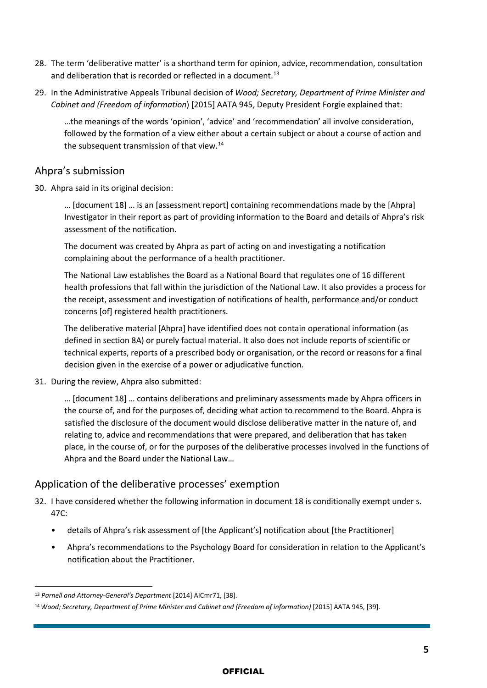- 28. The term 'deliberative matter' is a shorthand term for opinion, advice, recommendation, consultation and deliberation that is recorded or reflected in a document.<sup>13</sup>
- 29. In the Administrative Appeals Tribunal decision of *Wood; Secretary, Department of Prime Minister and Cabinet and (Freedom of information*) [\[2015\] AATA 945,](http://www.austlii.edu.au/cgi-bin/viewdoc/au/cases/cth/AATA/2015/945.html) Deputy President Forgie explained that:

…the meanings of the words 'opinion', 'advice' and 'recommendation' all involve consideration, followed by the formation of a view either about a certain subject or about a course of action and the subsequent transmission of that view.<sup>[14](#page-4-1)</sup>

#### Ahpra's submission

30. Ahpra said in its original decision:

… [document 18] … is an [assessment report] containing recommendations made by the [Ahpra] Investigator in their report as part of providing information to the Board and details of Ahpra's risk assessment of the notification.

The document was created by Ahpra as part of acting on and investigating a notification complaining about the performance of a health practitioner.

The National Law establishes the Board as a National Board that regulates one of 16 different health professions that fall within the jurisdiction of the National Law. It also provides a process for the receipt, assessment and investigation of notifications of health, performance and/or conduct concerns [of] registered health practitioners.

The deliberative material [Ahpra] have identified does not contain operational information (as defined in section 8A) or purely factual material. It also does not include reports of scientific or technical experts, reports of a prescribed body or organisation, or the record or reasons for a final decision given in the exercise of a power or adjudicative function.

31. During the review, Ahpra also submitted:

… [document 18] … contains deliberations and preliminary assessments made by Ahpra officers in the course of, and for the purposes of, deciding what action to recommend to the Board. Ahpra is satisfied the disclosure of the document would disclose deliberative matter in the nature of, and relating to, advice and recommendations that were prepared, and deliberation that has taken place, in the course of, or for the purposes of the deliberative processes involved in the functions of Ahpra and the Board under the National Law…

#### Application of the deliberative processes' exemption

- 32. I have considered whether the following information in document 18 is conditionally exempt under s. 47C:
	- details of Ahpra's risk assessment of [the Applicant's] notification about [the Practitioner]
	- Ahpra's recommendations to the Psychology Board for consideration in relation to the Applicant's notification about the Practitioner.

<span id="page-4-0"></span><sup>13</sup> *Parnell and Attorney-General's Department* [2014] AICmr71, [38].

<span id="page-4-1"></span><sup>14</sup>*Wood; Secretary, Department of Prime Minister and Cabinet and (Freedom of information)* [\[2015\] AATA 945,](http://www.austlii.edu.au/cgi-bin/viewdoc/au/cases/cth/AATA/2015/945.html) [39].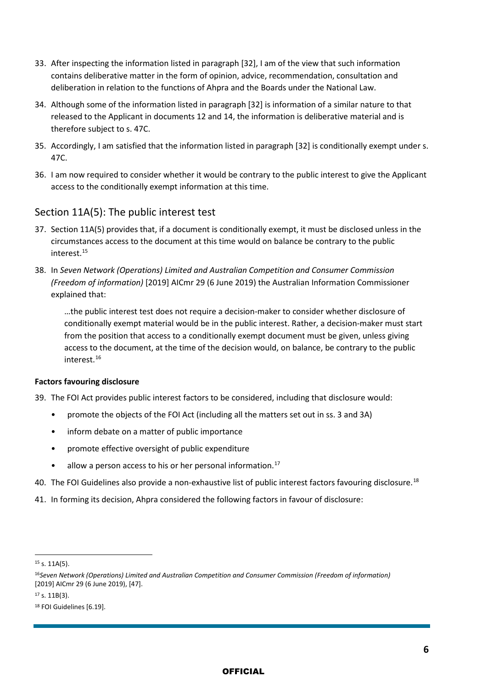- 33. After inspecting the information listed in paragraph [32], I am of the view that such information contains deliberative matter in the form of opinion, advice, recommendation, consultation and deliberation in relation to the functions of Ahpra and the Boards under the National Law.
- 34. Although some of the information listed in paragraph [32] is information of a similar nature to that released to the Applicant in documents 12 and 14, the information is deliberative material and is therefore subject to s. 47C.
- 35. Accordingly, I am satisfied that the information listed in paragraph [32] is conditionally exempt under s. 47C.
- 36. I am now required to consider whether it would be contrary to the public interest to give the Applicant access to the conditionally exempt information at this time.

#### Section 11A(5): The public interest test

- 37. Section 11A(5) provides that, if a document is conditionally exempt, it must be disclosed unless in the circumstances access to the document at this time would on balance be contrary to the public interest[.15](#page-5-0)
- 38. In *Seven Network (Operations) Limited and Australian Competition and Consumer Commission (Freedom of information)* [2019] AICmr 29 (6 June 2019) the Australian Information Commissioner explained that:

…the public interest test does not require a decision-maker to consider whether disclosure of conditionally exempt material would be in the public interest. Rather, a decision-maker must start from the position that access to a conditionally exempt document must be given, unless giving access to the document, at the time of the decision would, on balance, be contrary to the public interest.[16](#page-5-1)

#### **Factors favouring disclosure**

39. The FOI Act provides public interest factors to be considered, including that disclosure would:

- promote the objects of the FOI Act (including all the matters set out in ss. 3 and 3A)
- inform debate on a matter of public importance
- promote effective oversight of public expenditure
- $\bullet$  allow a person access to his or her personal information.<sup>[17](#page-5-2)</sup>
- 40. The FOI Guidelines also provide a non-exhaustive list of public interest factors favouring disclosure.<sup>[18](#page-5-3)</sup>
- 41. In forming its decision, Ahpra considered the following factors in favour of disclosure:

<span id="page-5-0"></span><sup>15</sup> s. 11A(5).

<span id="page-5-1"></span><sup>16</sup>*Seven Network (Operations) Limited and Australian Competition and Consumer Commission (Freedom of information)*  [2019] AICmr 29 (6 June 2019), [47].

<span id="page-5-2"></span><sup>17</sup> s. 11B(3).

<span id="page-5-3"></span><sup>18</sup> FOI Guidelines [6.19].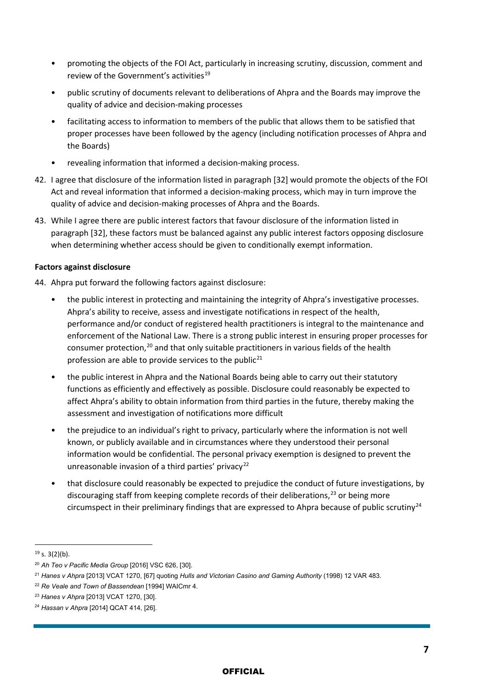- promoting the objects of the FOI Act, particularly in increasing scrutiny, discussion, comment and review of the Government's activities<sup>[19](#page-6-0)</sup>
- public scrutiny of documents relevant to deliberations of Ahpra and the Boards may improve the quality of advice and decision-making processes
- facilitating access to information to members of the public that allows them to be satisfied that proper processes have been followed by the agency (including notification processes of Ahpra and the Boards)
- revealing information that informed a decision-making process.
- 42. I agree that disclosure of the information listed in paragraph [32] would promote the objects of the FOI Act and reveal information that informed a decision-making process, which may in turn improve the quality of advice and decision-making processes of Ahpra and the Boards.
- 43. While I agree there are public interest factors that favour disclosure of the information listed in paragraph [32], these factors must be balanced against any public interest factors opposing disclosure when determining whether access should be given to conditionally exempt information.

#### **Factors against disclosure**

44. Ahpra put forward the following factors against disclosure:

- the public interest in protecting and maintaining the integrity of Ahpra's investigative processes. Ahpra's ability to receive, assess and investigate notifications in respect of the health, performance and/or conduct of registered health practitioners is integral to the maintenance and enforcement of the National Law. There is a strong public interest in ensuring proper processes for consumer protection,[20](#page-6-1) and that only suitable practitioners in various fields of the health profession are able to provide services to the public<sup>[21](#page-6-2)</sup>
- the public interest in Ahpra and the National Boards being able to carry out their statutory functions as efficiently and effectively as possible. Disclosure could reasonably be expected to affect Ahpra's ability to obtain information from third parties in the future, thereby making the assessment and investigation of notifications more difficult
- the prejudice to an individual's right to privacy, particularly where the information is not well known, or publicly available and in circumstances where they understood their personal information would be confidential. The personal privacy exemption is designed to prevent the unreasonable invasion of a third parties' privacy<sup>[22](#page-6-3)</sup>
- that disclosure could reasonably be expected to prejudice the conduct of future investigations, by discouraging staff from keeping complete records of their deliberations,  $^{23}$  $^{23}$  $^{23}$  or being more circumspect in their preliminary findings that are expressed to Ahpra because of public scrutiny $2^4$

<span id="page-6-0"></span> $19$  s. 3(2)(b).

<span id="page-6-1"></span><sup>20</sup> *Ah Teo v Pacific Media Group* [2016] VSC 626, [30].

<span id="page-6-2"></span><sup>21</sup> *Hanes v Ahpra* [2013] VCAT 1270, [67] quoting *Hulls and Victorian Casino and Gaming Authority* (1998) 12 VAR 483.

<span id="page-6-3"></span><sup>22</sup> *Re Veale and Town of Bassendean* [1994] WAICmr 4.

<span id="page-6-4"></span><sup>23</sup> *Hanes v Ahpra* [2013] VCAT 1270, [30].

<span id="page-6-5"></span><sup>24</sup> *Hassan v Ahpra* [2014] QCAT 414, [26].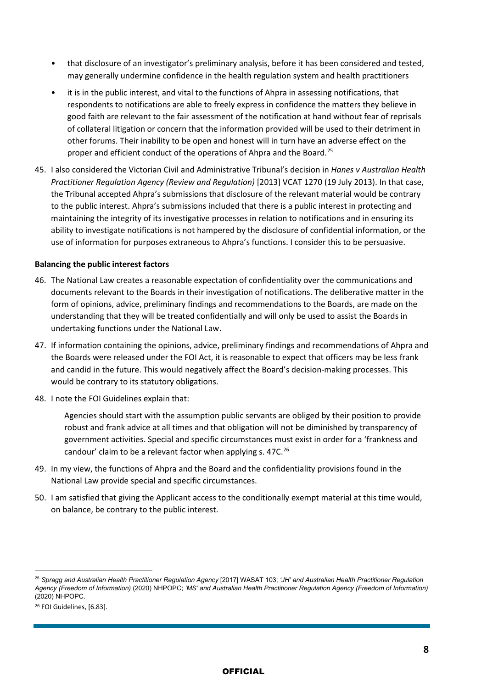- that disclosure of an investigator's preliminary analysis, before it has been considered and tested, may generally undermine confidence in the health regulation system and health practitioners
- it is in the public interest, and vital to the functions of Ahpra in assessing notifications, that respondents to notifications are able to freely express in confidence the matters they believe in good faith are relevant to the fair assessment of the notification at hand without fear of reprisals of collateral litigation or concern that the information provided will be used to their detriment in other forums. Their inability to be open and honest will in turn have an adverse effect on the proper and efficient conduct of the operations of Ahpra and the Board.[25](#page-7-0)
- 45. I also considered the Victorian Civil and Administrative Tribunal's decision in *Hanes v Australian Health Practitioner Regulation Agency (Review and Regulation)* [2013] VCAT 1270 (19 July 2013). In that case, the Tribunal accepted Ahpra's submissions that disclosure of the relevant material would be contrary to the public interest. Ahpra's submissions included that there is a public interest in protecting and maintaining the integrity of its investigative processes in relation to notifications and in ensuring its ability to investigate notifications is not hampered by the disclosure of confidential information, or the use of information for purposes extraneous to Ahpra's functions. I consider this to be persuasive.

#### **Balancing the public interest factors**

- 46. The National Law creates a reasonable expectation of confidentiality over the communications and documents relevant to the Boards in their investigation of notifications. The deliberative matter in the form of opinions, advice, preliminary findings and recommendations to the Boards, are made on the understanding that they will be treated confidentially and will only be used to assist the Boards in undertaking functions under the National Law.
- 47. If information containing the opinions, advice, preliminary findings and recommendations of Ahpra and the Boards were released under the FOI Act, it is reasonable to expect that officers may be less frank and candid in the future. This would negatively affect the Board's decision-making processes. This would be contrary to its statutory obligations.
- 48. I note the FOI Guidelines explain that:

Agencies should start with the assumption public servants are obliged by their position to provide robust and frank advice at all times and that obligation will not be diminished by transparency of government activities. Special and specific circumstances must exist in order for a 'frankness and candour' claim to be a relevant factor when applying s. 47C.<sup>[26](#page-7-1)</sup>

- 49. In my view, the functions of Ahpra and the Board and the confidentiality provisions found in the National Law provide special and specific circumstances.
- 50. I am satisfied that giving the Applicant access to the conditionally exempt material at this time would, on balance, be contrary to the public interest.

<span id="page-7-0"></span><sup>25</sup> *Spragg and Australian Health Practitioner Regulation Agency* [2017] WASAT 103; *'JH' and Australian Health Practitioner Regulation Agency (Freedom of Information)* (2020) NHPOPC; *'MS' and Australian Health Practitioner Regulation Agency (Freedom of Information)*  (2020) NHPOPC.

<span id="page-7-1"></span><sup>26</sup> FOI Guidelines, [6.83].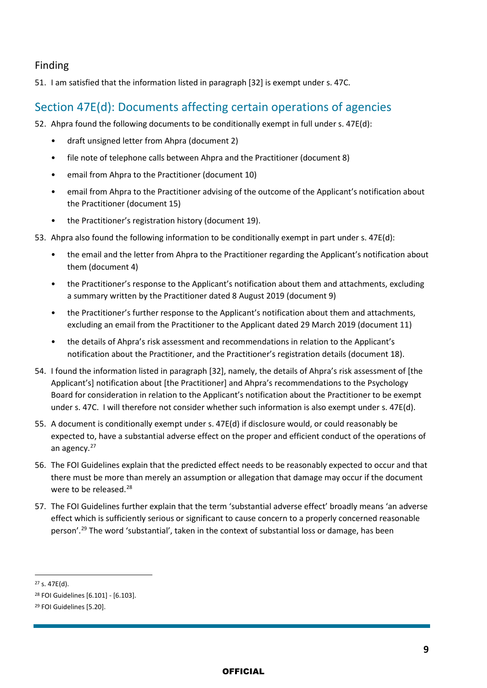#### Finding

51. I am satisfied that the information listed in paragraph [32] is exempt under s. 47C.

### Section 47E(d): Documents affecting certain operations of agencies

- 52. Ahpra found the following documents to be conditionally exempt in full under s. 47E(d):
	- draft unsigned letter from Ahpra (document 2)
	- file note of telephone calls between Ahpra and the Practitioner (document 8)
	- email from Ahpra to the Practitioner (document 10)
	- email from Ahpra to the Practitioner advising of the outcome of the Applicant's notification about the Practitioner (document 15)
	- the Practitioner's registration history (document 19).
- 53. Ahpra also found the following information to be conditionally exempt in part under s. 47E(d):
	- the email and the letter from Ahpra to the Practitioner regarding the Applicant's notification about them (document 4)
	- the Practitioner's response to the Applicant's notification about them and attachments, excluding a summary written by the Practitioner dated 8 August 2019 (document 9)
	- the Practitioner's further response to the Applicant's notification about them and attachments, excluding an email from the Practitioner to the Applicant dated 29 March 2019 (document 11)
	- the details of Ahpra's risk assessment and recommendations in relation to the Applicant's notification about the Practitioner, and the Practitioner's registration details (document 18).
- 54. I found the information listed in paragraph [32], namely, the details of Ahpra's risk assessment of [the Applicant's] notification about [the Practitioner] and Ahpra's recommendations to the Psychology Board for consideration in relation to the Applicant's notification about the Practitioner to be exempt under s. 47C. I will therefore not consider whether such information is also exempt under s. 47E(d).
- 55. A document is conditionally exempt under s. 47E(d) if disclosure would, or could reasonably be expected to, have a substantial adverse effect on the proper and efficient conduct of the operations of an agency.<sup>[27](#page-8-0)</sup>
- 56. The FOI Guidelines explain that the predicted effect needs to be reasonably expected to occur and that there must be more than merely an assumption or allegation that damage may occur if the document were to be released.<sup>[28](#page-8-1)</sup>
- 57. The FOI Guidelines further explain that the term 'substantial adverse effect' broadly means 'an adverse effect which is sufficiently serious or significant to cause concern to a properly concerned reasonable person'.<sup>29</sup> The word 'substantial', taken in the context of substantial loss or damage, has been

<span id="page-8-0"></span><sup>27</sup> s. 47E(d).

<span id="page-8-1"></span><sup>28</sup> FOI Guidelines [6.101] - [6.103].

<span id="page-8-2"></span><sup>29</sup> FOI Guidelines [5.20].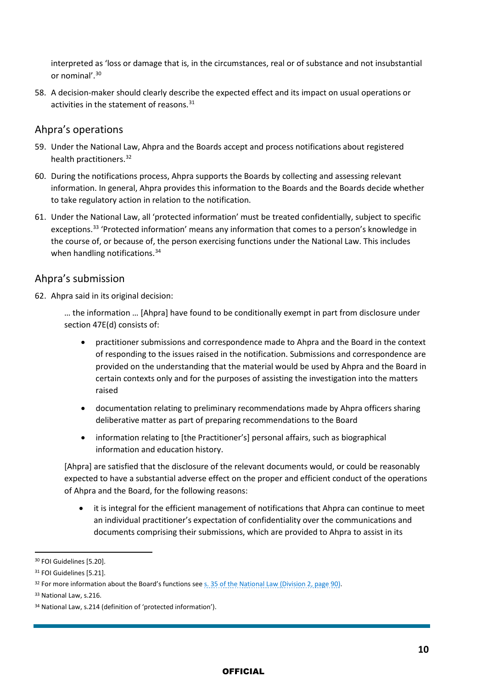interpreted as 'loss or damage that is, in the circumstances, real or of substance and not insubstantial or nominal'.[30](#page-9-0)

58. A decision-maker should clearly describe the expected effect and its impact on usual operations or activities in the statement of reasons.<sup>[31](#page-9-1)</sup>

#### Ahpra's operations

- 59. Under the National Law, Ahpra and the Boards accept and process notifications about registered health practitioners.<sup>[32](#page-9-2)</sup>
- 60. During the notifications process, Ahpra supports the Boards by collecting and assessing relevant information. In general, Ahpra provides this information to the Boards and the Boards decide whether to take regulatory action in relation to the notification.
- 61. Under the National Law, all 'protected information' must be treated confidentially, subject to specific exceptions.<sup>[33](#page-9-3)</sup> 'Protected information' means any information that comes to a person's knowledge in the course of, or because of, the person exercising functions under the National Law. This includes when handling notifications.<sup>[34](#page-9-4)</sup>

#### Ahpra's submission

- 62. Ahpra said in its original decision:
	- … the information … [Ahpra] have found to be conditionally exempt in part from disclosure under section 47E(d) consists of:
		- practitioner submissions and correspondence made to Ahpra and the Board in the context of responding to the issues raised in the notification. Submissions and correspondence are provided on the understanding that the material would be used by Ahpra and the Board in certain contexts only and for the purposes of assisting the investigation into the matters raised
		- documentation relating to preliminary recommendations made by Ahpra officers sharing deliberative matter as part of preparing recommendations to the Board
		- information relating to [the Practitioner's] personal affairs, such as biographical information and education history.

[Ahpra] are satisfied that the disclosure of the relevant documents would, or could be reasonably expected to have a substantial adverse effect on the proper and efficient conduct of the operations of Ahpra and the Board, for the following reasons:

• it is integral for the efficient management of notifications that Ahpra can continue to meet an individual practitioner's expectation of confidentiality over the communications and documents comprising their submissions, which are provided to Ahpra to assist in its

<span id="page-9-0"></span><sup>30</sup> FOI Guidelines [5.20].

<span id="page-9-1"></span><sup>31</sup> FOI Guidelines [5.21].

<span id="page-9-2"></span><sup>&</sup>lt;sup>32</sup> For more information about the Board's functions see [s. 35 of the National Law \(Division 2, page 90\).](https://www.legislation.qld.gov.au/view/pdf/inforce/current/act-2009-045)

<span id="page-9-3"></span><sup>33</sup> National Law, s.216.

<span id="page-9-4"></span><sup>34</sup> National Law, s.214 (definition of 'protected information').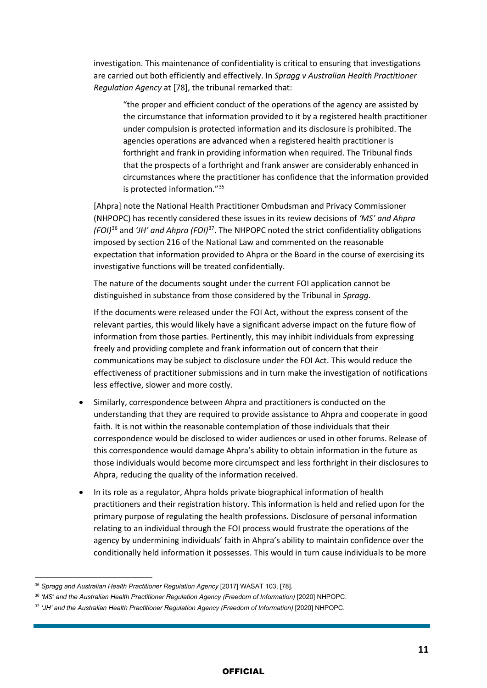investigation. This maintenance of confidentiality is critical to ensuring that investigations are carried out both efficiently and effectively. In *Spragg v Australian Health Practitioner Regulation Agency* at [78], the tribunal remarked that:

"the proper and efficient conduct of the operations of the agency are assisted by the circumstance that information provided to it by a registered health practitioner under compulsion is protected information and its disclosure is prohibited. The agencies operations are advanced when a registered health practitioner is forthright and frank in providing information when required. The Tribunal finds that the prospects of a forthright and frank answer are considerably enhanced in circumstances where the practitioner has confidence that the information provided is protected information."[35](#page-10-0)

[Ahpra] note the National Health Practitioner Ombudsman and Privacy Commissioner (NHPOPC) has recently considered these issues in its review decisions of *'MS' and Ahpra (FOI)*[36](#page-10-1) and *'JH' and Ahpra (FOI)*[37](#page-10-2). The NHPOPC noted the strict confidentiality obligations imposed by section 216 of the National Law and commented on the reasonable expectation that information provided to Ahpra or the Board in the course of exercising its investigative functions will be treated confidentially.

The nature of the documents sought under the current FOI application cannot be distinguished in substance from those considered by the Tribunal in *Spragg*.

If the documents were released under the FOI Act, without the express consent of the relevant parties, this would likely have a significant adverse impact on the future flow of information from those parties. Pertinently, this may inhibit individuals from expressing freely and providing complete and frank information out of concern that their communications may be subject to disclosure under the FOI Act. This would reduce the effectiveness of practitioner submissions and in turn make the investigation of notifications less effective, slower and more costly.

- Similarly, correspondence between Ahpra and practitioners is conducted on the understanding that they are required to provide assistance to Ahpra and cooperate in good faith. It is not within the reasonable contemplation of those individuals that their correspondence would be disclosed to wider audiences or used in other forums. Release of this correspondence would damage Ahpra's ability to obtain information in the future as those individuals would become more circumspect and less forthright in their disclosures to Ahpra, reducing the quality of the information received.
- In its role as a regulator, Ahpra holds private biographical information of health practitioners and their registration history. This information is held and relied upon for the primary purpose of regulating the health professions. Disclosure of personal information relating to an individual through the FOI process would frustrate the operations of the agency by undermining individuals' faith in Ahpra's ability to maintain confidence over the conditionally held information it possesses. This would in turn cause individuals to be more

<span id="page-10-0"></span><sup>35</sup> *Spragg and Australian Health Practitioner Regulation Agency* [2017] WASAT 103, [78].

<span id="page-10-1"></span><sup>36</sup> *'MS' and the Australian Health Practitioner Regulation Agency (Freedom of Information)* [2020] NHPOPC.

<span id="page-10-2"></span><sup>37</sup> *'JH' and the Australian Health Practitioner Regulation Agency (Freedom of Information)* [2020] NHPOPC.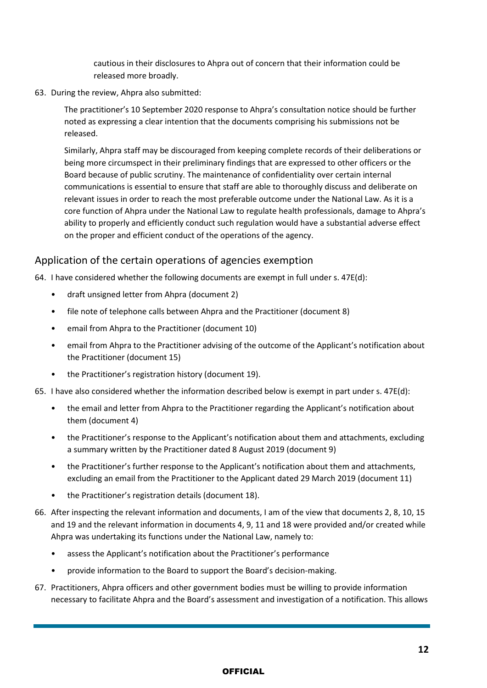cautious in their disclosures to Ahpra out of concern that their information could be released more broadly.

63. During the review, Ahpra also submitted:

The practitioner's 10 September 2020 response to Ahpra's consultation notice should be further noted as expressing a clear intention that the documents comprising his submissions not be released.

Similarly, Ahpra staff may be discouraged from keeping complete records of their deliberations or being more circumspect in their preliminary findings that are expressed to other officers or the Board because of public scrutiny. The maintenance of confidentiality over certain internal communications is essential to ensure that staff are able to thoroughly discuss and deliberate on relevant issues in order to reach the most preferable outcome under the National Law. As it is a core function of Ahpra under the National Law to regulate health professionals, damage to Ahpra's ability to properly and efficiently conduct such regulation would have a substantial adverse effect on the proper and efficient conduct of the operations of the agency.

#### Application of the certain operations of agencies exemption

64. I have considered whether the following documents are exempt in full under s.  $47E(d)$ :

- draft unsigned letter from Ahpra (document 2)
- file note of telephone calls between Ahpra and the Practitioner (document 8)
- email from Ahpra to the Practitioner (document 10)
- email from Ahpra to the Practitioner advising of the outcome of the Applicant's notification about the Practitioner (document 15)
- the Practitioner's registration history (document 19).

65. I have also considered whether the information described below is exempt in part under s. 47E(d):

- the email and letter from Ahpra to the Practitioner regarding the Applicant's notification about them (document 4)
- the Practitioner's response to the Applicant's notification about them and attachments, excluding a summary written by the Practitioner dated 8 August 2019 (document 9)
- the Practitioner's further response to the Applicant's notification about them and attachments, excluding an email from the Practitioner to the Applicant dated 29 March 2019 (document 11)
- the Practitioner's registration details (document 18).
- 66. After inspecting the relevant information and documents, I am of the view that documents 2, 8, 10, 15 and 19 and the relevant information in documents 4, 9, 11 and 18 were provided and/or created while Ahpra was undertaking its functions under the National Law, namely to:
	- assess the Applicant's notification about the Practitioner's performance
	- provide information to the Board to support the Board's decision-making.
- 67. Practitioners, Ahpra officers and other government bodies must be willing to provide information necessary to facilitate Ahpra and the Board's assessment and investigation of a notification. This allows

#### **OFFICIAL**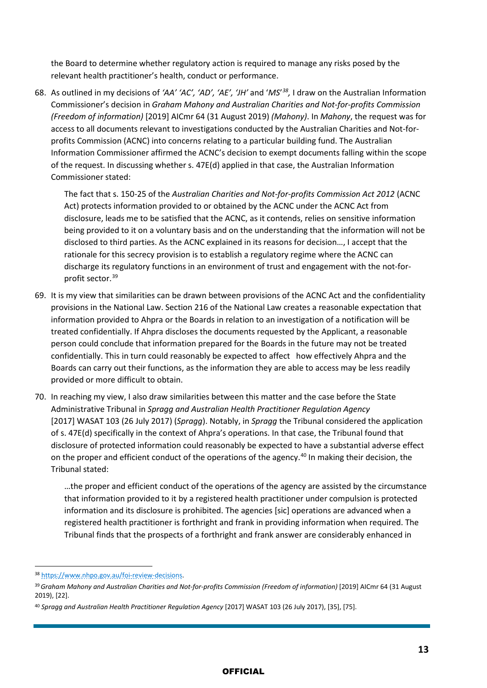the Board to determine whether regulatory action is required to manage any risks posed by the relevant health practitioner's health, conduct or performance.

68. As outlined in my decisions of *'AA' 'AC', 'AD', 'AE', 'JH'* and '*MS*' *[38,](#page-12-0)* I draw on the Australian Information Commissioner's decision in *Graham Mahony and Australian Charities and Not-for-profits Commission (Freedom of information)* [2019] AICmr 64 (31 August 2019) *(Mahony)*. In *Mahony*, the request was for access to all documents relevant to investigations conducted by the Australian Charities and Not-forprofits Commission (ACNC) into concerns relating to a particular building fund. The Australian Information Commissioner affirmed the ACNC's decision to exempt documents falling within the scope of the request. In discussing whether s. 47E(d) applied in that case, the Australian Information Commissioner stated:

The fact that s. 150-25 of the *Australian Charities and Not-for-profits Commission Act 2012* (ACNC Act) protects information provided to or obtained by the ACNC under the ACNC Act from disclosure, leads me to be satisfied that the ACNC, as it contends, relies on sensitive information being provided to it on a voluntary basis and on the understanding that the information will not be disclosed to third parties. As the ACNC explained in its reasons for decision…, I accept that the rationale for this secrecy provision is to establish a regulatory regime where the ACNC can discharge its regulatory functions in an environment of trust and engagement with the not-forprofit sector.[39](#page-12-1)

- 69. It is my view that similarities can be drawn between provisions of the ACNC Act and the confidentiality provisions in the National Law. Section 216 of the National Law creates a reasonable expectation that information provided to Ahpra or the Boards in relation to an investigation of a notification will be treated confidentially. If Ahpra discloses the documents requested by the Applicant, a reasonable person could conclude that information prepared for the Boards in the future may not be treated confidentially. This in turn could reasonably be expected to affect how effectively Ahpra and the Boards can carry out their functions, as the information they are able to access may be less readily provided or more difficult to obtain.
- 70. In reaching my view, I also draw similarities between this matter and the case before the State Administrative Tribunal in *Spragg and Australian Health Practitioner Regulation Agency* [2017] WASAT 103 (26 July 2017) (*Spragg*). Notably, in *Spragg* the Tribunal considered the application of s. 47E(d) specifically in the context of Ahpra's operations. In that case, the Tribunal found that disclosure of protected information could reasonably be expected to have a substantial adverse effect on the proper and efficient conduct of the operations of the agency.<sup>[40](#page-12-2)</sup> In making their decision, the Tribunal stated:

…the proper and efficient conduct of the operations of the agency are assisted by the circumstance that information provided to it by a registered health practitioner under compulsion is protected information and its disclosure is prohibited. The agencies [sic] operations are advanced when a registered health practitioner is forthright and frank in providing information when required. The Tribunal finds that the prospects of a forthright and frank answer are considerably enhanced in

<span id="page-12-0"></span><sup>38</sup> [https://www.nhpo.gov.au/foi-review-decisions.](https://www.nhpo.gov.au/foi-review-decisions)

<span id="page-12-1"></span><sup>39</sup>*Graham Mahony and Australian Charities and Not-for-profits Commission (Freedom of information)* [2019] AICmr 64 (31 August 2019), [22].

<span id="page-12-2"></span><sup>40</sup> *Spragg and Australian Health Practitioner Regulation Agency* [2017] WASAT 103 (26 July 2017), [35], [75].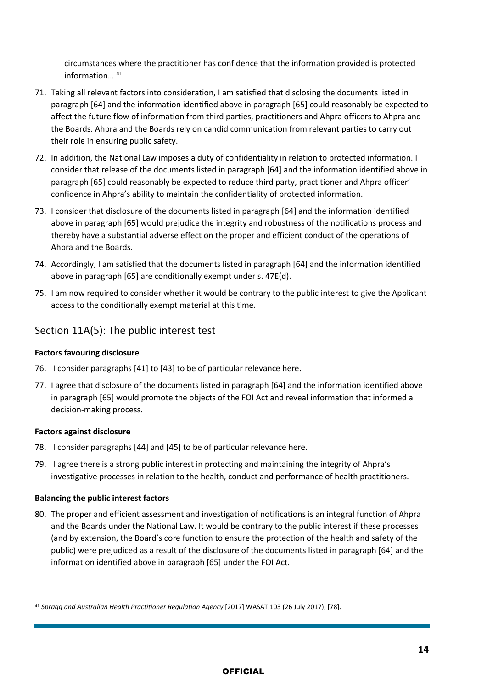circumstances where the practitioner has confidence that the information provided is protected information… [41](#page-13-0)

- 71. Taking all relevant factors into consideration, I am satisfied that disclosing the documents listed in paragraph [64] and the information identified above in paragraph [65] could reasonably be expected to affect the future flow of information from third parties, practitioners and Ahpra officers to Ahpra and the Boards. Ahpra and the Boards rely on candid communication from relevant parties to carry out their role in ensuring public safety.
- 72. In addition, the National Law imposes a duty of confidentiality in relation to protected information. I consider that release of the documents listed in paragraph [64] and the information identified above in paragraph [65] could reasonably be expected to reduce third party, practitioner and Ahpra officer' confidence in Ahpra's ability to maintain the confidentiality of protected information.
- 73. I consider that disclosure of the documents listed in paragraph [64] and the information identified above in paragraph [65] would prejudice the integrity and robustness of the notifications process and thereby have a substantial adverse effect on the proper and efficient conduct of the operations of Ahpra and the Boards.
- 74. Accordingly, I am satisfied that the documents listed in paragraph [64] and the information identified above in paragraph [65] are conditionally exempt under s. 47E(d).
- 75. I am now required to consider whether it would be contrary to the public interest to give the Applicant access to the conditionally exempt material at this time.

#### Section 11A(5): The public interest test

#### **Factors favouring disclosure**

- 76. I consider paragraphs [41] to [43] to be of particular relevance here.
- 77. I agree that disclosure of the documents listed in paragraph [64] and the information identified above in paragraph [65] would promote the objects of the FOI Act and reveal information that informed a decision-making process.

#### **Factors against disclosure**

- 78. I consider paragraphs [44] and [45] to be of particular relevance here.
- 79. I agree there is a strong public interest in protecting and maintaining the integrity of Ahpra's investigative processes in relation to the health, conduct and performance of health practitioners.

#### **Balancing the public interest factors**

80. The proper and efficient assessment and investigation of notifications is an integral function of Ahpra and the Boards under the National Law. It would be contrary to the public interest if these processes (and by extension, the Board's core function to ensure the protection of the health and safety of the public) were prejudiced as a result of the disclosure of the documents listed in paragraph [64] and the information identified above in paragraph [65] under the FOI Act.

<span id="page-13-0"></span><sup>41</sup> *Spragg and Australian Health Practitioner Regulation Agency* [2017] WASAT 103 (26 July 2017), [78].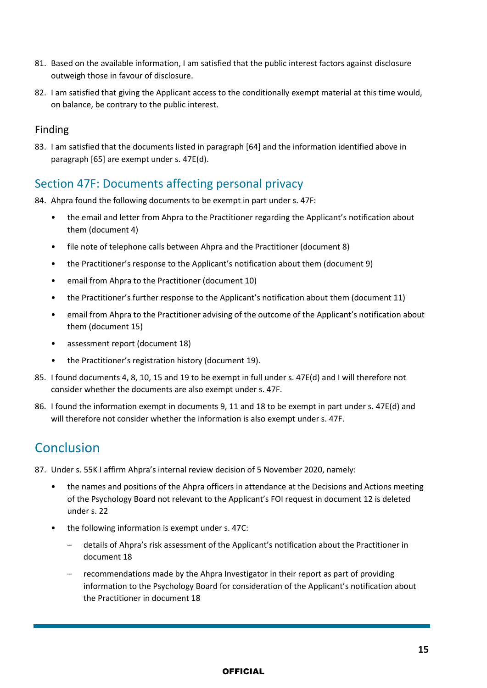- 81. Based on the available information, I am satisfied that the public interest factors against disclosure outweigh those in favour of disclosure.
- 82. I am satisfied that giving the Applicant access to the conditionally exempt material at this time would, on balance, be contrary to the public interest.

#### Finding

83. I am satisfied that the documents listed in paragraph [64] and the information identified above in paragraph [65] are exempt under s. 47E(d).

### Section 47F: Documents affecting personal privacy

84. Ahpra found the following documents to be exempt in part under s. 47F:

- the email and letter from Ahpra to the Practitioner regarding the Applicant's notification about them (document 4)
- file note of telephone calls between Ahpra and the Practitioner (document 8)
- the Practitioner's response to the Applicant's notification about them (document 9)
- email from Ahpra to the Practitioner (document 10)
- the Practitioner's further response to the Applicant's notification about them (document 11)
- email from Ahpra to the Practitioner advising of the outcome of the Applicant's notification about them (document 15)
- assessment report (document 18)
- the Practitioner's registration history (document 19).
- 85. I found documents 4, 8, 10, 15 and 19 to be exempt in full under s. 47E(d) and I will therefore not consider whether the documents are also exempt under s. 47F.
- 86. I found the information exempt in documents 9, 11 and 18 to be exempt in part under s. 47E(d) and will therefore not consider whether the information is also exempt under s. 47F.

# Conclusion

87. Under s. 55K I affirm Ahpra's internal review decision of 5 November 2020, namely:

- the names and positions of the Ahpra officers in attendance at the Decisions and Actions meeting of the Psychology Board not relevant to the Applicant's FOI request in document 12 is deleted under s. 22
- the following information is exempt under s. 47C:
	- details of Ahpra's risk assessment of the Applicant's notification about the Practitioner in document 18
	- recommendations made by the Ahpra Investigator in their report as part of providing information to the Psychology Board for consideration of the Applicant's notification about the Practitioner in document 18

#### **OFFICIAL**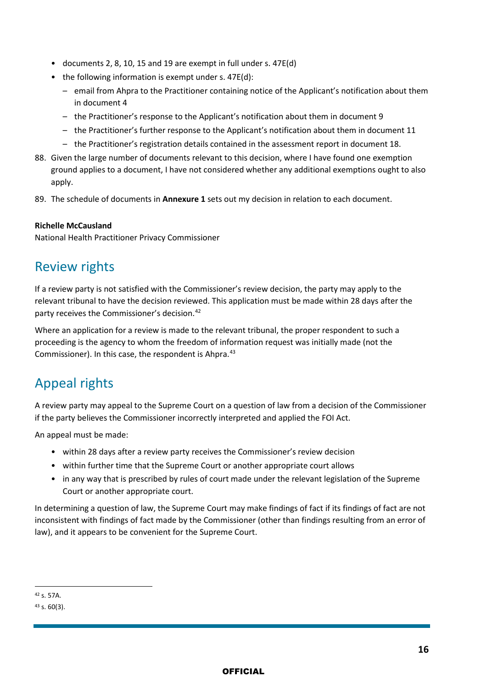- documents 2, 8, 10, 15 and 19 are exempt in full under s. 47E(d)
- the following information is exempt under s. 47E(d):
	- email from Ahpra to the Practitioner containing notice of the Applicant's notification about them in document 4
	- the Practitioner's response to the Applicant's notification about them in document 9
	- the Practitioner's further response to the Applicant's notification about them in document 11
	- the Practitioner's registration details contained in the assessment report in document 18.
- 88. Given the large number of documents relevant to this decision, where I have found one exemption ground applies to a document, I have not considered whether any additional exemptions ought to also apply.
- 89. The schedule of documents in **Annexure 1** sets out my decision in relation to each document.

#### **Richelle McCausland**

National Health Practitioner Privacy Commissioner

# Review rights

If a review party is not satisfied with the Commissioner's review decision, the party may apply to the relevant tribunal to have the decision reviewed. This application must be made within 28 days after the party receives the Commissioner's decision.<sup>[42](#page-15-0)</sup>

Where an application for a review is made to the relevant tribunal, the proper respondent to such a proceeding is the agency to whom the freedom of information request was initially made (not the Commissioner). In this case, the respondent is Ahpra.<sup>[43](#page-15-1)</sup>

# Appeal rights

A review party may appeal to the Supreme Court on a question of law from a decision of the Commissioner if the party believes the Commissioner incorrectly interpreted and applied the FOI Act.

An appeal must be made:

- within 28 days after a review party receives the Commissioner's review decision
- within further time that the Supreme Court or another appropriate court allows
- in any way that is prescribed by rules of court made under the relevant legislation of the Supreme Court or another appropriate court.

In determining a question of law, the Supreme Court may make findings of fact if its findings of fact are not inconsistent with findings of fact made by the Commissioner (other than findings resulting from an error of law), and it appears to be convenient for the Supreme Court.

<span id="page-15-0"></span><sup>42</sup> s. 57A.

<span id="page-15-1"></span> $43$  s. 60(3).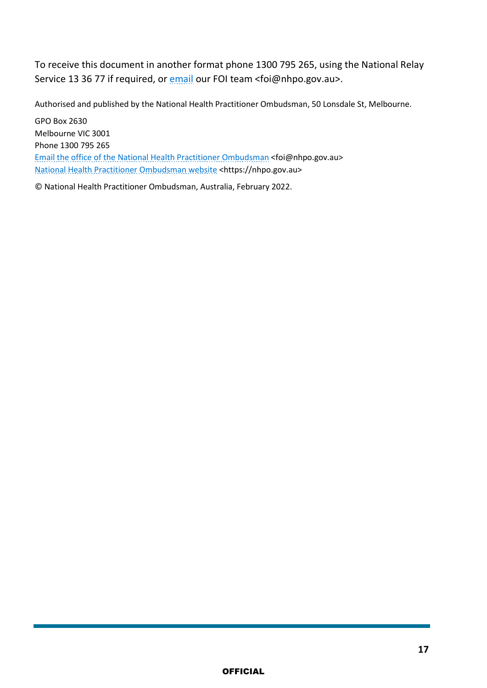To receive this document in another format phone 1300 795 265, using the National Relay Service 13 36 77 if required, or [email](mailto:foi@nhpo.gov.au) our FOI team <foi@nhpo.gov.au>.

Authorised and published by the National Health Practitioner Ombudsman, 50 Lonsdale St, Melbourne.

GPO Box 2630 Melbourne VIC 3001 Phone 1300 795 265 [Email the office of the National Health Practitioner Ombudsman](mailto:Email%20the%20office%20of%20the%20National%20Health%20Practitioner%20Ombudsman) <foi@nhpo.gov.au> [National Health Practitioner Ombudsman website](https://nhpo.gov.au/) <https://nhpo.gov.au>

© National Health Practitioner Ombudsman, Australia, February 2022.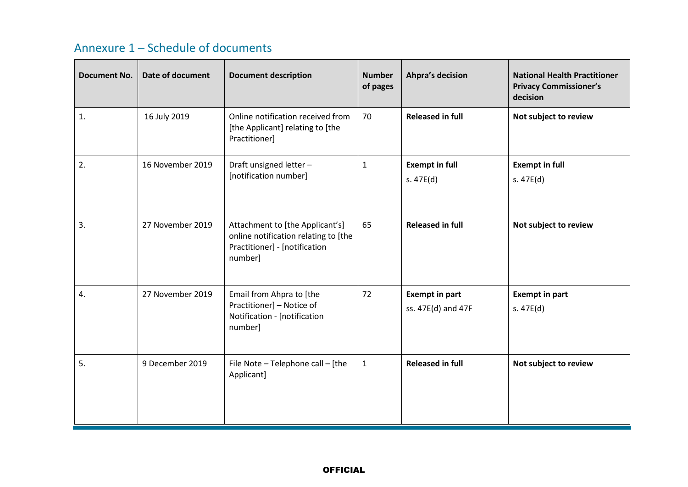# Annexure 1 – Schedule of documents

| <b>Document No.</b> | <b>Date of document</b> | <b>Document description</b>                                                                                         | <b>Number</b><br>of pages | <b>Ahpra's decision</b>                     | <b>National Health Practitioner</b><br><b>Privacy Commissioner's</b><br>decision |
|---------------------|-------------------------|---------------------------------------------------------------------------------------------------------------------|---------------------------|---------------------------------------------|----------------------------------------------------------------------------------|
| 1.                  | 16 July 2019            | Online notification received from<br>[the Applicant] relating to [the<br>Practitioner]                              | 70                        | <b>Released in full</b>                     | Not subject to review                                                            |
| 2.                  | 16 November 2019        | Draft unsigned letter -<br>[notification number]                                                                    | $\mathbf{1}$              | <b>Exempt in full</b><br>s. $47E(d)$        | <b>Exempt in full</b><br>s.47E(d)                                                |
| 3.                  | 27 November 2019        | Attachment to [the Applicant's]<br>online notification relating to [the<br>Practitioner] - [notification<br>number] | 65                        | <b>Released in full</b>                     | Not subject to review                                                            |
| 4.                  | 27 November 2019        | Email from Ahpra to [the<br>Practitioner] - Notice of<br>Notification - [notification<br>number]                    | 72                        | <b>Exempt in part</b><br>ss. 47E(d) and 47F | <b>Exempt in part</b><br>s. $47E(d)$                                             |
| 5.                  | 9 December 2019         | File Note - Telephone call - [the<br>Applicant]                                                                     | $\mathbf{1}$              | <b>Released in full</b>                     | Not subject to review                                                            |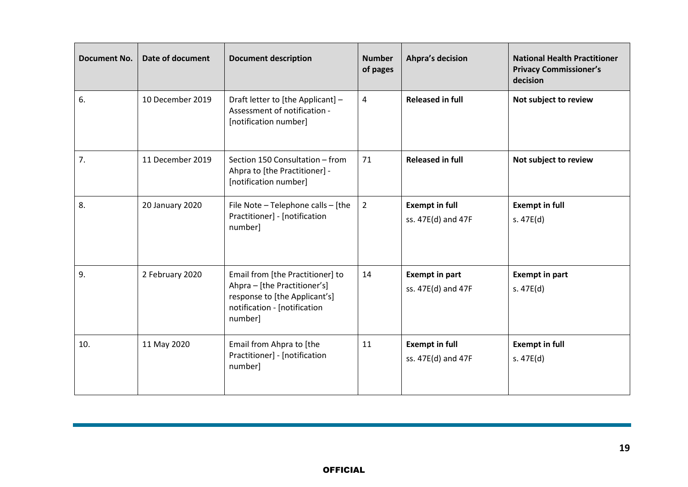| <b>Document No.</b> | Date of document | <b>Document description</b>                                                                                                                  | <b>Number</b><br>of pages | <b>Ahpra's decision</b>                     | <b>National Health Practitioner</b><br><b>Privacy Commissioner's</b><br>decision |
|---------------------|------------------|----------------------------------------------------------------------------------------------------------------------------------------------|---------------------------|---------------------------------------------|----------------------------------------------------------------------------------|
| 6.                  | 10 December 2019 | Draft letter to [the Applicant] -<br>Assessment of notification -<br>[notification number]                                                   | 4                         | <b>Released in full</b>                     | Not subject to review                                                            |
| 7.                  | 11 December 2019 | Section 150 Consultation - from<br>Ahpra to [the Practitioner] -<br>[notification number]                                                    | 71                        | <b>Released in full</b>                     | Not subject to review                                                            |
| 8.                  | 20 January 2020  | File Note - Telephone calls - [the<br>Practitioner] - [notification<br>number]                                                               | $\overline{2}$            | <b>Exempt in full</b><br>ss. 47E(d) and 47F | <b>Exempt in full</b><br>s. $47E(d)$                                             |
| 9.                  | 2 February 2020  | Email from [the Practitioner] to<br>Ahpra - [the Practitioner's]<br>response to [the Applicant's]<br>notification - [notification<br>number] | 14                        | <b>Exempt in part</b><br>ss. 47E(d) and 47F | <b>Exempt in part</b><br>s. $47E(d)$                                             |
| 10.                 | 11 May 2020      | Email from Ahpra to [the<br>Practitioner] - [notification<br>number]                                                                         | 11                        | <b>Exempt in full</b><br>ss. 47E(d) and 47F | <b>Exempt in full</b><br>s. $47E(d)$                                             |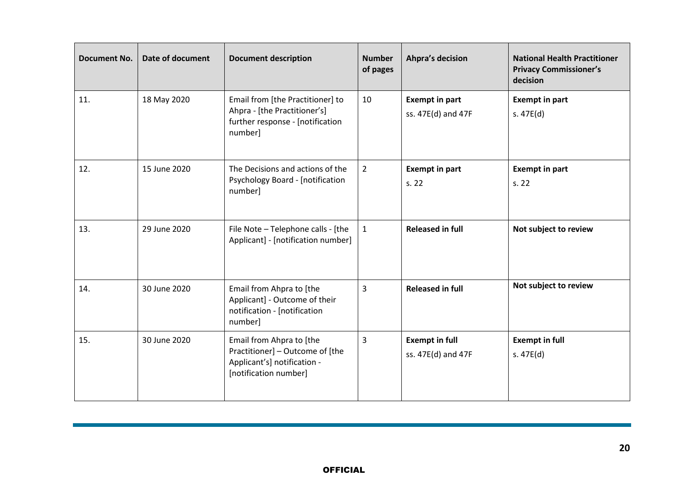| <b>Document No.</b> | <b>Date of document</b> | <b>Document description</b>                                                                                         | <b>Number</b><br>of pages | <b>Ahpra's decision</b>                     | <b>National Health Practitioner</b><br><b>Privacy Commissioner's</b><br>decision |
|---------------------|-------------------------|---------------------------------------------------------------------------------------------------------------------|---------------------------|---------------------------------------------|----------------------------------------------------------------------------------|
| 11.                 | 18 May 2020             | Email from [the Practitioner] to<br>Ahpra - [the Practitioner's]<br>further response - [notification<br>number]     | 10                        | <b>Exempt in part</b><br>ss. 47E(d) and 47F | <b>Exempt in part</b><br>s. $47E(d)$                                             |
| 12.                 | 15 June 2020            | The Decisions and actions of the<br><b>Psychology Board - [notification</b><br>number]                              | $\overline{2}$            | <b>Exempt in part</b><br>s. 22              | <b>Exempt in part</b><br>s. 22                                                   |
| 13.                 | 29 June 2020            | File Note - Telephone calls - [the<br>Applicant] - [notification number]                                            | $\mathbf{1}$              | <b>Released in full</b>                     | Not subject to review                                                            |
| 14.                 | 30 June 2020            | Email from Ahpra to [the<br>Applicant] - Outcome of their<br>notification - [notification<br>number]                | 3                         | <b>Released in full</b>                     | Not subject to review                                                            |
| 15.                 | 30 June 2020            | Email from Ahpra to [the<br>Practitioner] - Outcome of [the<br>Applicant's] notification -<br>[notification number] | 3                         | <b>Exempt in full</b><br>ss. 47E(d) and 47F | <b>Exempt in full</b><br>s. $47E(d)$                                             |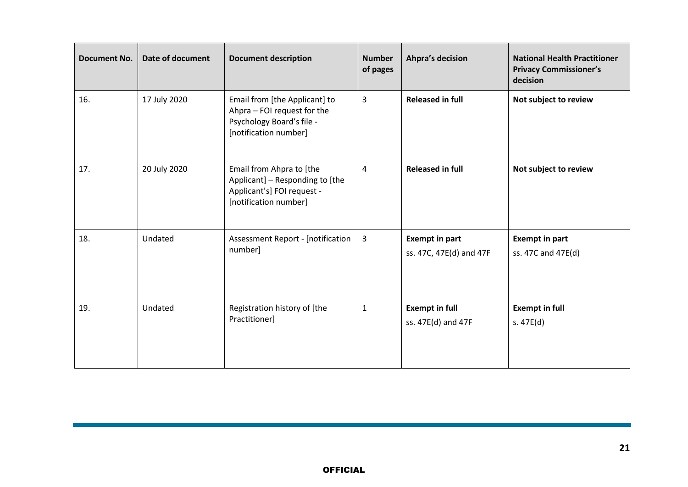| <b>Document No.</b> | <b>Date of document</b> | <b>Document description</b>                                                                                        | <b>Number</b><br>of pages | <b>Ahpra's decision</b>                          | <b>National Health Practitioner</b><br><b>Privacy Commissioner's</b><br>decision |
|---------------------|-------------------------|--------------------------------------------------------------------------------------------------------------------|---------------------------|--------------------------------------------------|----------------------------------------------------------------------------------|
| 16.                 | 17 July 2020            | Email from [the Applicant] to<br>Ahpra - FOI request for the<br>Psychology Board's file -<br>[notification number] | 3                         | <b>Released in full</b>                          | Not subject to review                                                            |
| 17.                 | 20 July 2020            | Email from Ahpra to [the<br>Applicant] - Responding to [the<br>Applicant's] FOI request -<br>[notification number] | 4                         | <b>Released in full</b>                          | Not subject to review                                                            |
| 18.                 | Undated                 | <b>Assessment Report - [notification</b><br>number]                                                                | 3                         | <b>Exempt in part</b><br>ss. 47C, 47E(d) and 47F | <b>Exempt in part</b><br>ss. 47C and 47E(d)                                      |
| 19.                 | Undated                 | Registration history of [the<br>Practitioner]                                                                      | $\mathbf{1}$              | <b>Exempt in full</b><br>ss. 47E(d) and 47F      | <b>Exempt in full</b><br>s. $47E(d)$                                             |